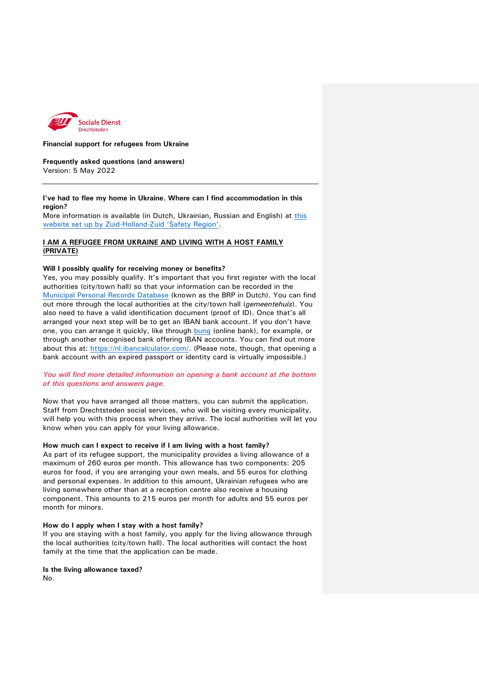

#### **Financial support for refugees from Ukraine**

**Frequently asked questions (and answers)**  Version: 5 May 2022

#### **I've had to flee my home in Ukraine. Where can I find accommodation in this region?**

More information is available (in Dutch, Ukrainian, Russian and English) at [this](https://www.zhzveilig.nl/oekraine/)  [website set up by Zuid-Holland-](https://www.zhzveilig.nl/oekraine/)Zuid 'Safety Region'.

# **I AM A REFUGEE FROM UKRAINE AND LIVING WITH A HOST FAMILY (PRIVATE)**

#### **Will I possibly qualify for receiving money or benefits?**

Yes, you may possibly qualify. It's important that you first register with the local authorities (city/town hall) so that your information can be recorded in the [Municipal Personal Records Database](https://www.rijksoverheid.nl/onderwerpen/privacy-en-persoonsgegevens/basisregistratie-personen-brp) (known as the BRP in Dutch). You can find out more through the local authorities at the city/town hall (*gemeentehuis*). You also need to have a valid identification document (proof of ID). Once that's all arranged your next step will be to get an IBAN bank account. If you don't have one, you can arrange it quickly, like through [bunq](https://www.bunq.com/ukraine-refugees) (online bank), for example, or through another recognised bank offering IBAN accounts. You can find out more about this at: [https://nl.ibancalculator.com/.](https://nl.ibancalculator.com/) (Please note, though, that opening a bank account with an expired passport or identity card is virtually impossible.)

### *You will find more detailed information on opening a bank account at the bottom of this questions and answers page.*

Now that you have arranged all those matters, you can submit the application. Staff from Drechtsteden social services, who will be visiting every municipality, will help you with this process when they arrive. The local authorities will let you know when you can apply for your living allowance.

# **How much can I expect to receive if I am living with a host family?**

As part of its refugee support, the municipality provides a living allowance of a maximum of 260 euros per month. This allowance has two components: 205 euros for food, if you are arranging your own meals, and 55 euros for clothing and personal expenses. In addition to this amount, Ukrainian refugees who are living somewhere other than at a reception centre also receive a housing component. This amounts to 215 euros per month for adults and 55 euros per month for minors.

#### **How do I apply when I stay with a host family?**

If you are staying with a host family, you apply for the living allowance through the local authorities (city/town hall). The local authorities will contact the host family at the time that the application can be made.

# **Is the living allowance taxed?**

No.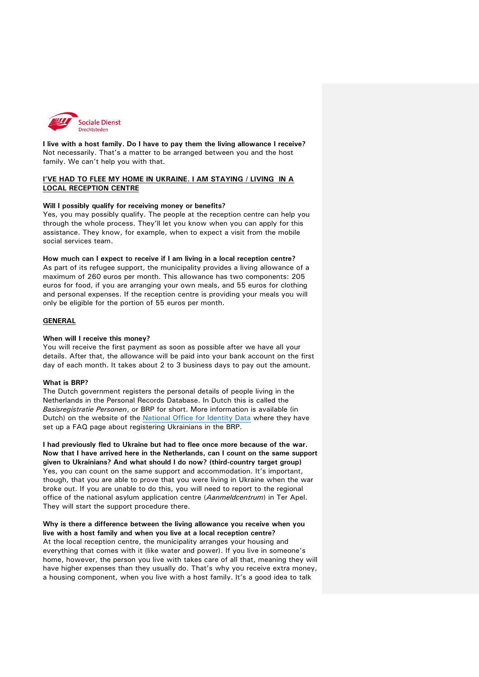

**I live with a host family. Do I have to pay them the living allowance I receive?**  Not necessarily. That's a matter to be arranged between you and the host family. We can't help you with that.

### **I'VE HAD TO FLEE MY HOME IN UKRAINE. I AM STAYING / LIVING IN A LOCAL RECEPTION CENTRE**

#### **Will I possibly qualify for receiving money or benefits?**

Yes, you may possibly qualify. The people at the reception centre can help you through the whole process. They'll let you know when you can apply for this assistance. They know, for example, when to expect a visit from the mobile social services team.

#### **How much can I expect to receive if I am living in a local reception centre?**

As part of its refugee support, the municipality provides a living allowance of a maximum of 260 euros per month. This allowance has two components: 205 euros for food, if you are arranging your own meals, and 55 euros for clothing and personal expenses. If the reception centre is providing your meals you will only be eligible for the portion of 55 euros per month.

### **GENERAL**

### **When will I receive this money?**

You will receive the first payment as soon as possible after we have all your details. After that, the allowance will be paid into your bank account on the first day of each month. It takes about 2 to 3 business days to pay out the amount.

### **What is BRP?**

The Dutch government registers the personal details of people living in the Netherlands in the Personal Records Database. In Dutch this is called the *Basisregistratie Personen*, or BRP for short. More information is available (in Dutch) on the website of the [National Office for Identity Data](https://www.rvig.nl/brp/inschrijven-oekrainers-in-de-brp/veelgestelde-vragen) where they have set up a FAQ page about registering Ukrainians in the BRP.

**I had previously fled to Ukraine but had to flee once more because of the war. Now that I have arrived here in the Netherlands, can I count on the same support given to Ukrainians? And what should I do now? (third-country target group)**  Yes, you can count on the same support and accommodation. It's important, though, that you are able to prove that you were living in Ukraine when the war broke out. If you are unable to do this, you will need to report to the regional office of the national asylum application centre (*Aanmeldcentrum*) in Ter Apel. They will start the support procedure there.

# **Why is there a difference between the living allowance you receive when you live with a host family and when you live at a local reception centre?**  At the local reception centre, the municipality arranges your housing and everything that comes with it (like water and power). If you live in someone's home, however, the person you live with takes care of all that, meaning they will

have higher expenses than they usually do. That's why you receive extra money, a housing component, when you live with a host family. It's a good idea to talk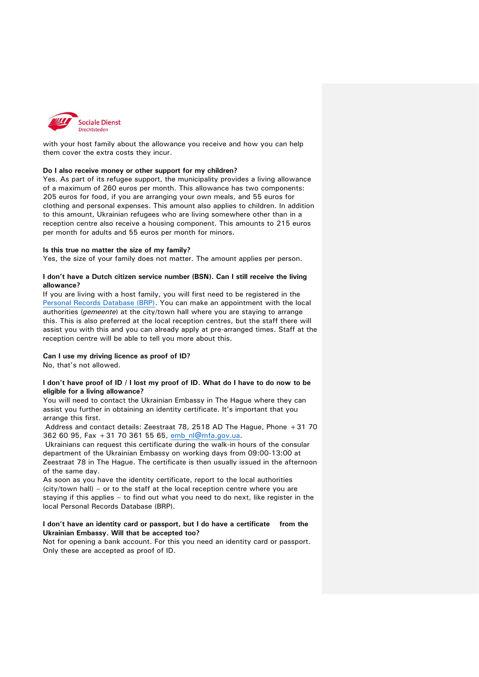

with your host family about the allowance you receive and how you can help them cover the extra costs they incur.

#### **Do I also receive money or other support for my children?**

Yes. As part of its refugee support, the municipality provides a living allowance of a maximum of 260 euros per month. This allowance has two components: 205 euros for food, if you are arranging your own meals, and 55 euros for clothing and personal expenses. This amount also applies to children. In addition to this amount, Ukrainian refugees who are living somewhere other than in a reception centre also receive a housing component. This amounts to 215 euros per month for adults and 55 euros per month for minors.

#### **Is this true no matter the size of my family?**

Yes, the size of your family does not matter. The amount applies per person.

### **I don't have a Dutch citizen service number (BSN). Can I still receive the living allowance?**

If you are living with a host family, you will first need to be registered in the [Personal Records Database \(BRP\).](https://www.rijksoverheid.nl/onderwerpen/privacy-en-persoonsgegevens/basisregistratie-personen-brp) You can make an appointment with the local authorities (*gemeente*) at the city/town hall where you are staying to arrange this. This is also preferred at the local reception centres, but the staff there will assist you with this and you can already apply at pre-arranged times. Staff at the reception centre will be able to tell you more about this.

#### **Can I use my driving licence as proof of ID?**

No, that's not allowed.

### **I don't have proof of ID / I lost my proof of ID. What do I have to do now to be eligible for a living allowance?**

You will need to contact the Ukrainian Embassy in The Hague where they can assist you further in obtaining an identity certificate. It's important that you arrange this first.

Address and contact details: Zeestraat 78, 2518 AD The Hague, Phone +31 70 362 60 95, Fax +31 70 361 55 65, [emb\\_nl@mfa.gov.ua.](file://///grid.internal/GRDN$/Samenwerking/SD%20Communicatie%20SDD/Projecten%20lopend/2022%20Hulp%20Oekraïne/emb_nl@mfa.gov.ua%20)

Ukrainians can request this certificate during the walk-in hours of the consular department of the Ukrainian Embassy on working days from 09:00-13:00 at Zeestraat 78 in The Hague. The certificate is then usually issued in the afternoon of the same day.

As soon as you have the identity certificate, report to the local authorities (city/town hall) – or to the staff at the local reception centre where you are staying if this applies – to find out what you need to do next, like register in the local Personal Records Database (BRP).

### **I don't have an identity card or passport, but I do have a certificate from the Ukrainian Embassy. Will that be accepted too?**

Not for opening a bank account. For this you need an identity card or passport. Only these are accepted as proof of ID.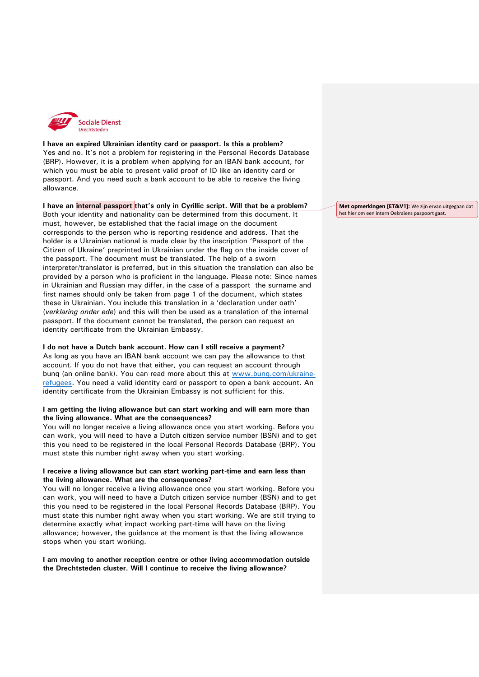

### **I have an expired Ukrainian identity card or passport. Is this a problem?**  Yes and no. It's not a problem for registering in the Personal Records Database (BRP). However, it is a problem when applying for an IBAN bank account, for which you must be able to present valid proof of ID like an identity card or passport. And you need such a bank account to be able to receive the living allowance.

#### **I have an internal passport that's only in Cyrillic script. Will that be a problem?**

Both your identity and nationality can be determined from this document. It must, however, be established that the facial image on the document corresponds to the person who is reporting residence and address. That the holder is a Ukrainian national is made clear by the inscription 'Passport of the Citizen of Ukraine' preprinted in Ukrainian under the flag on the inside cover of the passport. The document must be translated. The help of a sworn interpreter/translator is preferred, but in this situation the translation can also be provided by a person who is proficient in the language. Please note: Since names in Ukrainian and Russian may differ, in the case of a passport the surname and first names should only be taken from page 1 of the document, which states these in Ukrainian. You include this translation in a 'declaration under oath' (*verklaring onder ede*) and this will then be used as a translation of the internal passport. If the document cannot be translated, the person can request an identity certificate from the Ukrainian Embassy.

### **I do not have a Dutch bank account. How can I still receive a payment?**

As long as you have an IBAN bank account we can pay the allowance to that account. If you do not have that either, you can request an account through bunq (an online bank). You can read more about this at [www.bunq.com/ukraine](file://///grid.internal/GRDN$/Samenwerking/SD%20Communicatie%20SDD/Projecten%20lopend/2022%20Hulp%20Oekraïne/www.bunq.com/ukraine-refugees)[refugees.](file://///grid.internal/GRDN$/Samenwerking/SD%20Communicatie%20SDD/Projecten%20lopend/2022%20Hulp%20Oekraïne/www.bunq.com/ukraine-refugees) You need a valid identity card or passport to open a bank account. An identity certificate from the Ukrainian Embassy is not sufficient for this.

### **I am getting the living allowance but can start working and will earn more than the living allowance. What are the consequences?**

You will no longer receive a living allowance once you start working. Before you can work, you will need to have a Dutch citizen service number (BSN) and to get this you need to be registered in the local Personal Records Database (BRP). You must state this number right away when you start working.

### **I receive a living allowance but can start working part-time and earn less than the living allowance. What are the consequences?**

You will no longer receive a living allowance once you start working. Before you can work, you will need to have a Dutch citizen service number (BSN) and to get this you need to be registered in the local Personal Records Database (BRP). You must state this number right away when you start working. We are still trying to determine exactly what impact working part-time will have on the living allowance; however, the guidance at the moment is that the living allowance stops when you start working.

**I am moving to another reception centre or other living accommodation outside the Drechtsteden cluster. Will I continue to receive the living allowance?** 

**Met opmerkingen [ET&V1]:** We zijn ervan uitgegaan dat het hier om een intern Oekraïens paspoort gaat.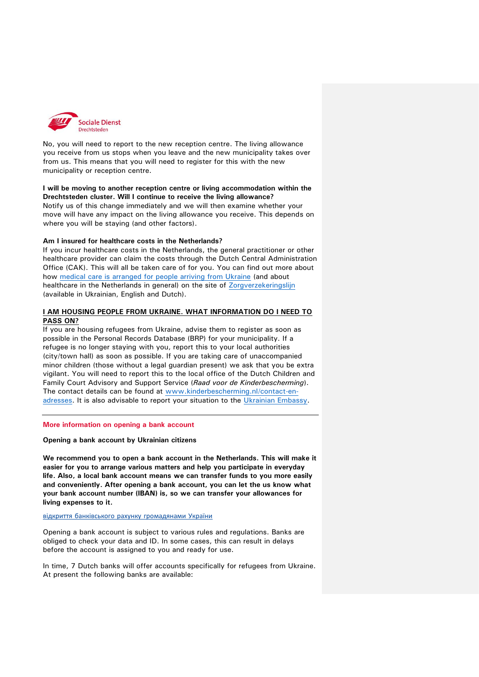

No, you will need to report to the new reception centre. The living allowance you receive from us stops when you leave and the new municipality takes over from us. This means that you will need to register for this with the new municipality or reception centre.

**I will be moving to another reception centre or living accommodation within the Drechtsteden cluster. Will I continue to receive the living allowance?**  Notify us of this change immediately and we will then examine whether your move will have any impact on the living allowance you receive. This depends on where you will be staying (and other factors).

### **Am I insured for healthcare costs in the Netherlands?**

If you incur healthcare costs in the Netherlands, the general practitioner or other healthcare provider can claim the costs through the Dutch Central Administration Office (CAK). This will all be taken care of for you. You can find out more about how [medical care is arranged for people arriving from Ukraine](https://www.zorgverzekeringslijn.nl/ukrainian/) (and about healthcare in the Netherlands in general) on the site of [Zorgverzekeringslijn](https://www.zorgverzekeringslijn.nl/ukrainian/) (available in Ukrainian, English and Dutch).

### **I AM HOUSING PEOPLE FROM UKRAINE. WHAT INFORMATION DO I NEED TO PASS ON?**

If you are housing refugees from Ukraine, advise them to register as soon as possible in the Personal Records Database (BRP) for your municipality. If a refugee is no longer staying with you, report this to your local authorities (city/town hall) as soon as possible. If you are taking care of unaccompanied minor children (those without a legal guardian present) we ask that you be extra vigilant. You will need to report this to the local office of the Dutch Children and Family Court Advisory and Support Service (*Raad voor de Kinderbescherming*). The contact details can be found at [www.kinderbescherming.nl/contact-en](https://www.kinderbescherming.nl/contact-en-adressen)[adresses.](https://www.kinderbescherming.nl/contact-en-adressen) It is also advisable to report your situation to the [Ukrainian Embassy.](https://www.rijksoverheid.nl/onderwerpen/ambassades-consulaten-en-overige-vertegenwoordigingen/overzicht-landen-en-gebieden/oekraine/ambassade-van-oekraine-s-gravenhage)

#### **More information on opening a bank account**

**Opening a bank account by Ukrainian citizens**

**We recommend you to open a bank account in the Netherlands. This will make it easier for you to arrange various matters and help you participate in everyday life. Also, a local bank account means we can transfer funds to you more easily and conveniently. After opening a bank account, you can let the us know what your bank account number (IBAN) is, so we can transfer your allowances for living expenses to it.**

відкриття банківського рахунку [громадянами](https://www.amsterdam.nl/en/refugees/amsterdam-supports-ukraine/artikel/) України

Opening a bank account is subject to various rules and regulations. Banks are obliged to check your data and ID. In some cases, this can result in delays before the account is assigned to you and ready for use.

In time, 7 Dutch banks will offer accounts specifically for refugees from Ukraine. At present the following banks are available: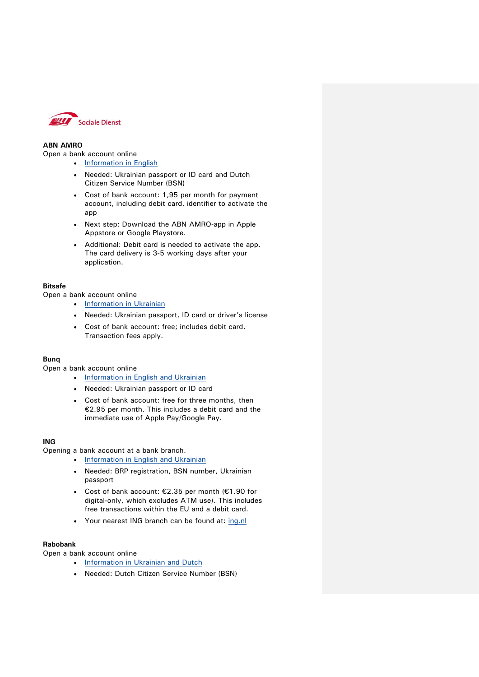

# **ABN AMRO**

Open a bank account online

- [Information in English](https://www.abnamro.nl/en/personal/payments/open-an-account/account-for-ukrainian-customers.html)
- Needed: Ukrainian passport or ID card and Dutch Citizen Service Number (BSN)
- Cost of bank account: 1,95 per month for payment account, including debit card, identifier to activate the app
- Next step: Download the ABN AMRO-app in Apple Appstore or Google Playstore.
- Additional: Debit card is needed to activate the app. The card delivery is 3-5 working days after your application.

# **Bitsafe**

Open a bank account online

- [Information in Ukrainian](https://www.bitsafe.org.ua/en/index.html)
- Needed: Ukrainian passport, ID card or driver's license
- Cost of bank account: free; includes debit card. Transaction fees apply.

# **Bunq**

Open a bank account online

- [Information in English and Ukrainian](https://www.bunq.com/ukraine-refugees)
- Needed: Ukrainian passport or ID card
- Cost of bank account: free for three months, then €2.95 per month. This includes a debit card and the immediate use of Apple Pay/Google Pay.

### **ING**

Opening a bank account at a bank branch.

- [Information in English and Ukrainian](https://www.ing.nl/particulier/english/bank-account-for-new-ukraine-customers/index.html)
- Needed: BRP registration, BSN number, Ukrainian passport
- Cost of bank account: €2.35 per month (€1.90 for digital-only, which excludes ATM use). This includes free transactions within the EU and a debit card.
- Your nearest ING branch can be found at: [ing.nl](https://www.ing.nl/zakelijk/klantenservice/service-en-dienstverlening/geldautomaat-of-kantoor-zoeken/index.html)

# **Rabobank**

Open a bank account online

- [Information in Ukrainian and Dutch](https://www.rabobank.nl/particulieren/betalen/bankrekening/rabo-directpakket/oekraine?ra_resize=yes&ra_toolbar=yes&ra_menubar=yes)
- Needed: Dutch Citizen Service Number (BSN)